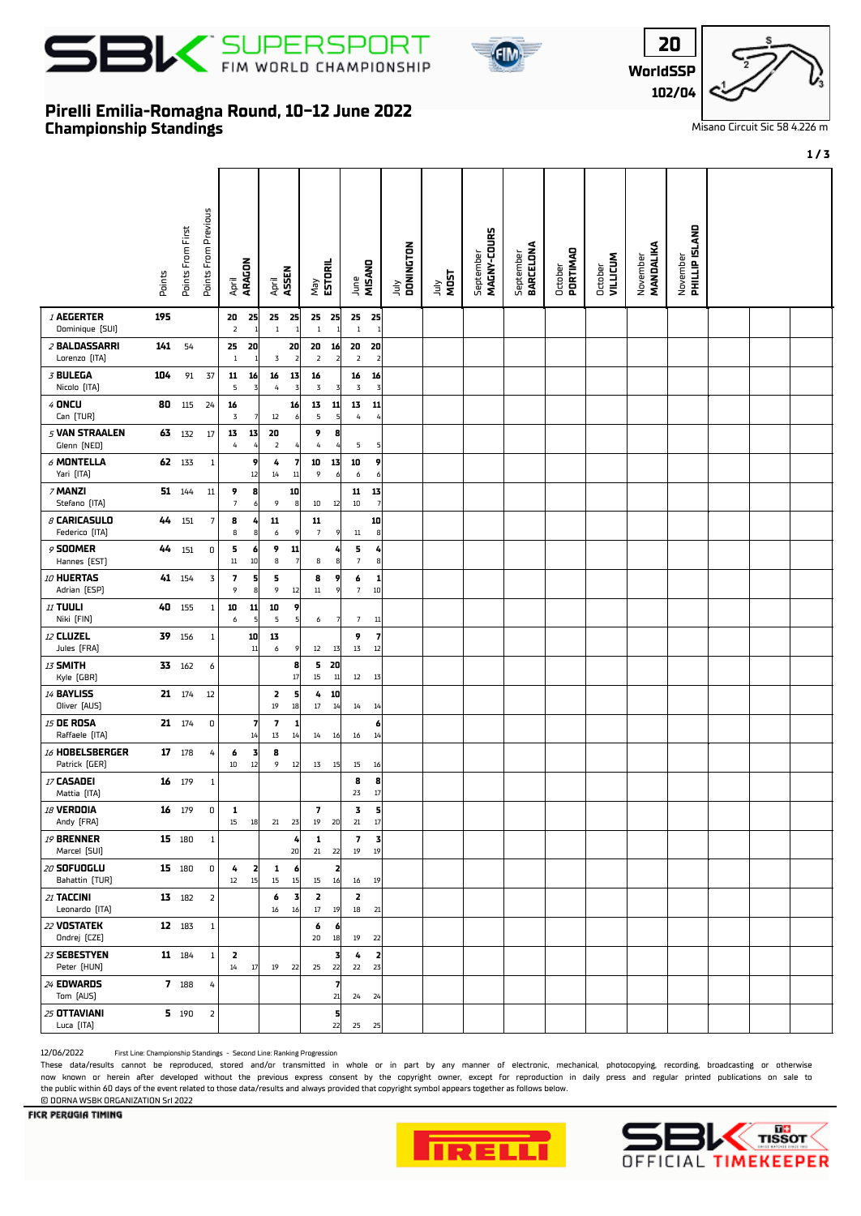





## **Championship Standings Pirelli Emilia-Romagna Round, 10-12 June 2022**

r

Misano Circuit Sic 58 4.226 m

**1 / 3**

|                                       | Points | Points From First | Points From Previous | ARAGON<br>April                 |                      | ASSEN<br>April               |                        | ESTORIL<br>Vay                  | MISAND<br>June                 |             | July<br>DONINGTON | <b>MOST</b><br>Ìщ | MAGNY-COURS<br>September | September<br>BARCELONA | October<br>PORTIMAO | <b>VILLICUM</b><br>October | November<br><b>MANDALIKA</b> | November<br><b>PHILLIP ISLAND</b> |  |  |
|---------------------------------------|--------|-------------------|----------------------|---------------------------------|----------------------|------------------------------|------------------------|---------------------------------|--------------------------------|-------------|-------------------|-------------------|--------------------------|------------------------|---------------------|----------------------------|------------------------------|-----------------------------------|--|--|
| <b>/ AEGERTER</b><br>Dominique (SUI)  | 195    |                   |                      | 20<br>$\overline{2}$            | 25                   | 25<br>- 25<br>$\overline{1}$ | $\mathbf{1}$           | 25<br>25<br>$\,1\,$             | 25<br>$\,1\,$                  | 25          |                   |                   |                          |                        |                     |                            |                              |                                   |  |  |
| <i>2</i> BALDASSARRI<br>Lorenzo [ITA] | 141    | 54                |                      | 25<br>$\mathbf{1}$              | 20                   | 3                            | 20<br>$\overline{2}$   | 20<br>16<br>$\overline{2}$<br>2 | 20<br>$\overline{\mathbf{2}}$  | 20<br>-2    |                   |                   |                          |                        |                     |                            |                              |                                   |  |  |
| 3 BULEGA<br>Nicolo [ITA]              | 104    | 91                | 37                   | 11<br>5                         | 16<br>$\overline{3}$ | 16<br>$\sqrt{4}$             | 13<br>3                | 16<br>$\mathbf 3$<br>3          | 16<br>3                        | 16<br>3     |                   |                   |                          |                        |                     |                            |                              |                                   |  |  |
| $4$ ONCU<br>Can (TUR)                 | 80     | 115               | 24                   | 16<br>$\ensuremath{\mathbf{3}}$ | 7                    | $12\,$                       | 16<br>$\boldsymbol{6}$ | 13<br>11<br>5<br>5              | 13<br>$\pmb{4}$                | 11          |                   |                   |                          |                        |                     |                            |                              |                                   |  |  |
| 5 VAN STRAALEN<br>Glenn (NED)         |        | 63 132            | 17                   | 13<br>$\it 4$                   | 13                   | 20<br>$\overline{2}$         |                        | 9<br>8<br>$\sqrt{4}$            | 5                              | 5           |                   |                   |                          |                        |                     |                            |                              |                                   |  |  |
| $\delta$ MONTELLA<br>Yari [ITA]       |        | 62 133            | 1                    |                                 | 9<br>12              | 4<br>14                      | 7<br>11                | 10<br>13<br>9<br>6              | 10<br>6                        | 9<br>6      |                   |                   |                          |                        |                     |                            |                              |                                   |  |  |
| 7 MANZI<br>Stefano [ITA]              |        | 51 144            | $11\,$               | 9<br>$\overline{\phantom{a}}$   | 8<br>6               | 9                            | 10<br>$\boldsymbol{8}$ | $10\,$<br>12                    | 11<br>$10\,$                   | 13          |                   |                   |                          |                        |                     |                            |                              |                                   |  |  |
| $\beta$ CARICASULO<br>Federico (ITA)  | 44     | 151               | 7                    | 8<br>8                          | 4<br>8               | 11<br>$\boldsymbol{6}$       | 9                      | 11<br>$\overline{7}$<br>9       | $11\,$                         | 10<br>8     |                   |                   |                          |                        |                     |                            |                              |                                   |  |  |
| 9 SOOMER<br>Hannes [EST]              | 44     | 151               | 0                    | 5<br>$11\,$                     | 6<br>10              | 9<br>8                       | 11<br>$\overline{7}$   | 8<br>8                          | 5<br>$\overline{7}$            | 4<br>8      |                   |                   |                          |                        |                     |                            |                              |                                   |  |  |
| 10 HUERTAS<br>Adrian [ESP]            |        | 41 154            | 3                    | 7<br>9                          | 5<br>8               | 5<br>9                       | 12                     | 8<br>9<br>$11\,$<br>9           | 6<br>$\overline{7}$            | 1<br>$10\,$ |                   |                   |                          |                        |                     |                            |                              |                                   |  |  |
| <b>11 TUULI</b><br>Niki [FIN]         | 40     | 155               | 1                    | 10<br>6                         | 11<br>5              | 10<br>5                      | 9<br>$\overline{5}$    | 6                               | $7\overline{ }$                | 11          |                   |                   |                          |                        |                     |                            |                              |                                   |  |  |
| 12 CLUZEL<br>Jules (FRA)              | 39     | 156               | $\mathbf{1}$         |                                 | 10<br>11             | 13<br>6                      | 9                      | 12<br>13                        | 9<br>13                        | 7<br>12     |                   |                   |                          |                        |                     |                            |                              |                                   |  |  |
| 13 SMITH<br>Kyle (GBR)                |        | 33 162            | 6                    |                                 |                      |                              | 8<br>17                | 5 20<br>15<br>11                | 12                             | 13          |                   |                   |                          |                        |                     |                            |                              |                                   |  |  |
| <b>14 BAYLISS</b><br>Oliver [AUS]     |        | 21 174            | 12                   |                                 |                      | 2<br>$19\,$                  | 5<br>18                | 10<br>4<br>$17\,$<br>14         | 14                             | 14          |                   |                   |                          |                        |                     |                            |                              |                                   |  |  |
| <b>15 DE ROSA</b><br>Raffaele [ITA]   |        | 21 174            | 0                    |                                 | 7<br>14              | 7<br>13                      | 1<br>14                | 14<br>16                        | 16                             | 6<br>14     |                   |                   |                          |                        |                     |                            |                              |                                   |  |  |
| 16 HOBELSBERGER<br>Patrick (GER)      |        | 17 178            | 4                    | 6<br>$10\,$                     | 3<br>12              | 8<br>9                       | 12                     | 13<br>15                        | 15                             | 16          |                   |                   |                          |                        |                     |                            |                              |                                   |  |  |
| 17 CASADEI<br>Mattia [ITA]            | 16     | 179               | $\mathbf{1}$         |                                 |                      |                              |                        |                                 | 8<br>23                        | 8<br>17     |                   |                   |                          |                        |                     |                            |                              |                                   |  |  |
| <b>18 VERDOIA</b><br>Andy [FRA]       |        | 16 179            | 0                    | 1<br>15                         | 18                   | 21 23                        |                        | 7<br>19<br>- 20                 | 3<br>$21\,$                    | 5<br>17     |                   |                   |                          |                        |                     |                            |                              |                                   |  |  |
| <b>19 BRENNER</b><br>Marcel [SUI]     |        | 15 180            | $\mathbf{1}$         |                                 |                      |                              | 4<br>20                | 1<br>21<br>22                   | $\overline{\phantom{a}}$<br>19 | 3<br>19     |                   |                   |                          |                        |                     |                            |                              |                                   |  |  |
| <i>20</i> SOFUOGLU<br>Bahattin [TUR]  |        | 15 180            | 0                    | 4<br>$12\,$                     | 2<br>15              | 1<br>$15\phantom{.0}$        | 6<br>15                | 2<br>15<br>16                   | 16                             | 19          |                   |                   |                          |                        |                     |                            |                              |                                   |  |  |
| 21 TACCINI<br>Leonardo [ITA]          |        | 13 182            | $\overline{2}$       |                                 |                      | 6<br>16                      | $\vert$ 3<br>16        | 2<br>$17\,$<br>19               | 2<br>18                        | 21          |                   |                   |                          |                        |                     |                            |                              |                                   |  |  |
| 22 VOSTATEK<br>Ondrej (CZE)           |        | 12 183            | $\mathbf{1}$         |                                 |                      |                              |                        | 6<br>6<br>20<br>18              | 19                             | 22          |                   |                   |                          |                        |                     |                            |                              |                                   |  |  |
| 23 SEBESTYEN<br>Peter [HUN]           |        | 11 184            | $\mathbf{1}$         | 2<br>14                         | 17                   | 19                           | 22                     | 3<br>25<br>22                   | 4<br>22                        | 2<br>23     |                   |                   |                          |                        |                     |                            |                              |                                   |  |  |
| 24 EDWARDS<br>Tom [AUS]               |        | 7 188             | 4                    |                                 |                      |                              |                        | 7<br>21                         | 24                             | 24          |                   |                   |                          |                        |                     |                            |                              |                                   |  |  |
| 25 OTTAVIANI<br>Luca [ITA]            |        | 5 190             | $\overline{2}$       |                                 |                      |                              |                        | 5<br>22                         | 25                             | 25          |                   |                   |                          |                        |                     |                            |                              |                                   |  |  |

12/06/2022 First Line: Championship Standings - Second Line: Ranking Progression

These data/results cannot be reproduced, stored and/or transmitted in whole or in part by any manner of electronic, mechanical, photocopying, recording, broadcasting or otherwise now known or herein afer developed without the previous express consent by the copyright owner, except for reproduction in daily press and regular printed publications on sale to the public within 60 days of the event related to those data/results and always provided that copyright symbol appears together as follows below. © DORNA WSBK ORGANIZATION Srl 2022





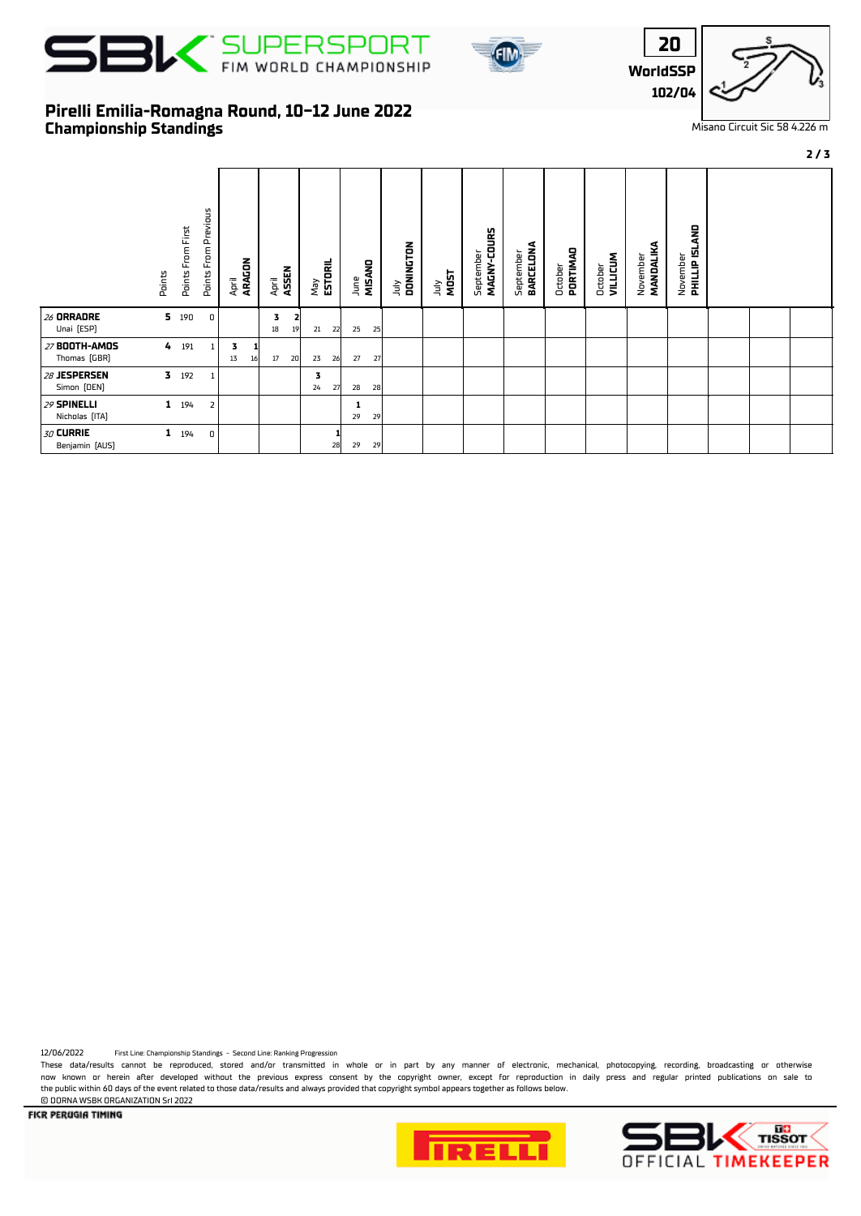





Misano Circuit Sic 58 4.226 m

**2 / 3**

## **Championship Standings Pirelli Emilia-Romagna Round, 10-12 June 2022**

|                               | Points       | Points From First | Previous<br>Points From | April<br><b>ARAGON</b> |    | April   | <b>ASSEN</b> | May<br><b>ESTORIL</b> |    | June    | MISAND | DONINGTON<br>ιη | <b>MOST</b><br>УInr | MAGNY-COURS<br>September | BARCELONA<br>September | PORTIMAD<br>October | <b>VILLICUM</b><br>October | MANDALIKA<br>November | <b>PHILLIP ISLAND</b><br>November |  |  |
|-------------------------------|--------------|-------------------|-------------------------|------------------------|----|---------|--------------|-----------------------|----|---------|--------|-----------------|---------------------|--------------------------|------------------------|---------------------|----------------------------|-----------------------|-----------------------------------|--|--|
| 26 ORRADRE<br>Unai [ESP]      |              | 5 190             | 0                       |                        |    | 3<br>18 | 2<br>19      | 21                    | 22 | 25      | 25     |                 |                     |                          |                        |                     |                            |                       |                                   |  |  |
| 27 BOOTH-AMOS<br>Thomas (GBR) | 4            | 191               | $\mathbf{1}$            | 3<br>13                | 16 | 17      | 20           | 23                    | 26 | 27      | 27     |                 |                     |                          |                        |                     |                            |                       |                                   |  |  |
| 28 JESPERSEN<br>Simon [DEN]   |              | $3$ 192           | 1                       |                        |    |         |              | 3<br>24               | 27 | 28      | 28     |                 |                     |                          |                        |                     |                            |                       |                                   |  |  |
| 29 SPINELLI<br>Nicholas [ITA] | $\mathbf{1}$ | 194               | $\overline{2}$          |                        |    |         |              |                       |    | 1<br>29 | 29     |                 |                     |                          |                        |                     |                            |                       |                                   |  |  |
| 30 CURRIE<br>Benjamin [AUS]   | $\mathbf{1}$ | 194               | 0                       |                        |    |         |              |                       | 28 | 29      | 29     |                 |                     |                          |                        |                     |                            |                       |                                   |  |  |

12/06/2022 First Line: Championship Standings - Second Line: Ranking Progression

These data/results cannot be reproduced, stored and/or transmitted in whole or in part by any manner of electronic, mechanical, photocopying, recording, broadcasting or otherwise now known or herein afer developed without the previous express consent by the copyright owner, except for reproduction in daily press and regular printed publications on sale to the public within 60 days of the event related to those data/results and always provided that copyright symbol appears together as follows below.

© DORNA WSBK ORGANIZATION Srl 2022FICR PERUGIA TIMING